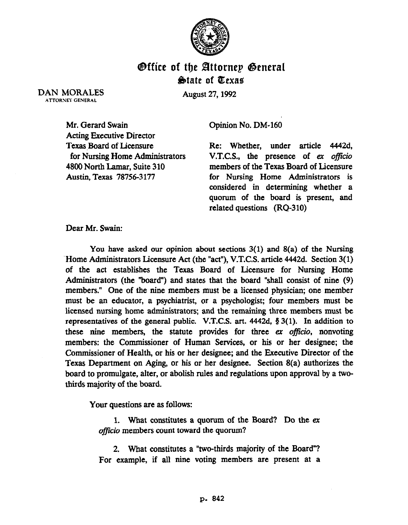

## Office of the Attorney Genere %btate of Eexae

DAN MORALES **ATTORNEY GENERAL** 

August 27,1992

Mr. Gerard Swain Acting Executive Director Texas Board of Licensure for Nursing Home Administrators 4800 North Lamar, Suite 310 Austin, Texas 78756-3177

Opinion No. DM-160

Re: Whether, under article 4442d, V.T.C.S., the presence of ex officio members of the Texas Board of Licensure for Nursing Home Administrators is considered in determining whether a quorum of the board is present, and related questions (RQ-310)

Dear Mr. Swain:

You have asked our opinion about sections  $3(1)$  and  $8(a)$  of the Nursing Home Administrators Licensure Act (the "act"), V.T.C.S. article 4442d. Section 3(1) of the act establishes the Texas Board of Licensure for Nursing Home Administrators (the "board") and states that the board "shall consist of nine (9) members." One of the nine members must be a licensed physician; one member must be an educator, a psychiatrist, or a psychologist; four members must be licensed nursing home administrators; and the remaining three members must be representatives of the general public. V.T.C.S. art.  $4442d$ ,  $\S 3(1)$ . In addition to these nine members, the statute provides for three ex officio, nonvoting members: the Commissioner of Human Services, or his or her designee; the Commissioner of Health, or his or her designee; and the Executive Director of the Texas Department on Aging, or his or her designee. Section 8(a) authorizes the board to promulgate, alter, or abolish rules and regulations upon approval by a twothirds majority of the board.

Your questions are as follows:

1. What constitutes a quorum of the Board? Do the ex officio members count toward the quorum?

2. What constitutes a "two-thirds majority of the Board"? For example, if all nine voting members are present at a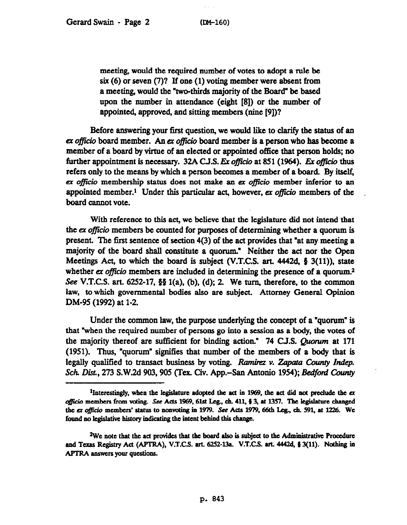meeting, would the required number of votes to adopt a rule be six (6) or seven (7)? If one (1) voting member were absent from a meeting, would the "two-thirds majority of the Board" be based upon the number in attendance (eight [8]) or the number of appointed, approved, and sitting members (nine [9])?

Before answering your first question, we would like to clarify the status of an ex officio board member. An ex officio board member is a person who has become a member of a board by virtue of an elected or appointed office that person holds; no further appointment is necessary. 32A C.J.S. Ex officio at 851 (1964). Ex officio thus refers only to the means by which a person becomes a member of a board. By itself, ex officio membership status does not make an ex officio member inferior to an appointed member.<sup>1</sup> Under this particular act, however, ex officio members of the board cannot vote.

With reference to this act, we believe that the legislature did not intend that the ex officio members be counted for purposes of determining whether a quorum is present. 'Ibe first sentence of section 4(3) of the act provides that "at any meeting a majority of the board shall constitute a quorum." Neither the act nor the Gpen Meetings Act, to which the board is subject (V.T.C.S. art.  $4442d$ , § 3(11)), state whether ex *officio* members are included in determining the presence of a quorum.<sup>2</sup> See V.T.C.S. art. 6252-17, §§ 1(a), (b), (d); 2. We turn, therefore, to the common law, to which governmental bodies also are subject. Attorney General Opinion DM-95 (1992) at 1-2.

Under the common law, the purpose underlying the concept of a "quorum" is that "when the required number of persons go into a session as a body, the votes of the majority thereof are sufficient for binding action." 74 C.J.S. Quorum at 171 (1951). Thus, "quorum" signifies that number of the members of a body that is legally qualified to transact business by voting. Ramirez v. Zapata County Indep. Sch. Dist., 273 S.W.2d 903, 905 (Tex. Civ. App.--San Antonio 1954); *Bedford County* 

<sup>&</sup>lt;sup>1</sup>Interestingly, when the legislature adopted the act in 1969, the act did not preclude the  $ex$ officio members from voting. See Acts 1969, 61st Leg., ch. 411, § 3, at 1357. The legislature changed the ex officio members' status to nonvoting in 1979. See Acts 1979, 66th Leg., ch. 591, at 1226. We found no legislative history indicating the intent behind this change.

<sup>&</sup>lt;sup>2</sup>We note that the act provides that the board also is subject to the Administrative Procedure and Texas Registry Act (APTRA), V.T.C.S. art. 6252-13a. V.T.C.S. art. 4442d, § 3(11). Nothing in APTRA answers your questions.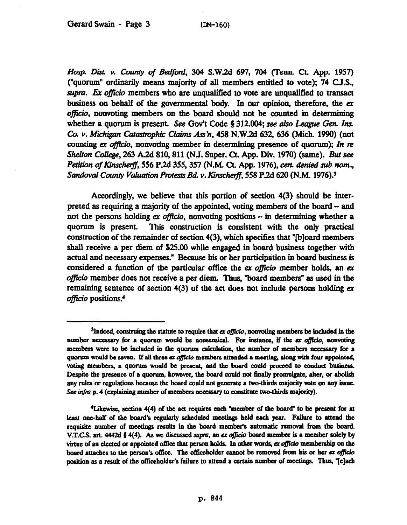*Hosp. L&-t. v. Gnmy of Bedford, 304* S.W2d 697, 704 (Penn. Ct. App. 1957) ("quorum" ordinarily means majority of all members entitled to vote); 74 C.J.S., supra. Ex officio members who are unqualified to vote are unqualified to transact business on behalf of the govermnental body. In our opinion, therefore, the er officio, nonvoting members on the board should not be counted in determining whether a quorum is present. See Gov't Code  $\S 312.004$ ; see also League Gen. Ins. *Co. v. Michigan Catastrophic Claims Ass'n,* 458 N.W.2d 632, 636 (Mich. 1990) (not counting ex *officio*, nonvoting member in determining presence of quorum); In re She&on CWlege, 263 A.2d 810,811 (NJ. Super. ct. App. Div. 1970) (same). *But see*  Petition of Kinscherff, 556 P.2d 355, 357 (N.M. Ct. App. 1976), cert. denied sub nom., Sandoval County Valuation Protests Bd. v. Kinscherff, 558 P.2d 620 (N.M. 1976).<sup>3</sup>

Accordingly, we believe that this portion of section 4(3) should be interpreted as requiring a majority of the appointed, voting members of the board - and not the persons holding ex officio, nonvoting positions  $-$  in determining whether a quorum is present. This construction is consistent with the only practical construction of the remainder of section 4(3), which specifies that "b]oard members shall receive a per diem of S25.00 while engaged in board business together with actual and necessary expenses." Because his or her participation in board business is considered a function of the particular office the ex officio member holds, an ex officio member does not receive a per diem. Thus, "board members" as used in the remaining sentence of section 4(3) of the act does not include persons holding ex officio positions.<sup>4</sup>

<sup>&</sup>lt;sup>3</sup>Indeed, construing the statute to require that *ex officio*, nonvoting members be included in the number necessary for a quorum would be nonsensical. For instance, if the ex officio, nonvoting members were to be included in the quorum calculation, the number of members necessary for a quorum would be seven. If all three *ex officio* members attended a meeting, along with four appointed, voting members, a quorum would be present, and the board could proceed to conduct business. Despite the presence of a quorum, however, the board could not finally promulgate, alter, or abolish any rules or regulations because the board could not generate a two-thirds majority vote on any issue. See infra p. 4 (explaining number of members necessary to constitute two-thirds majority).

<sup>&</sup>lt;sup>4</sup>Likewise, section 4(4) of the act requires each "member of the board" to be present for at least one-half of the board's regularly scheduled meetings held each year. Failure to attend the requisite number of meetings results in the board member's automatic removal from the board. **V.T.C.S. art. 4442d § 4(4).** As we discussed supra, an ex officio board member is a member solely by virtue of an elected or appointed office that person holds. In other words, ex officio membership on the board attaches to the person's office. The officeholder cannot be removed from his or her ex officio position as a result of the officeholder's failure to attend a certain number of meetings. Thus, "[e]ach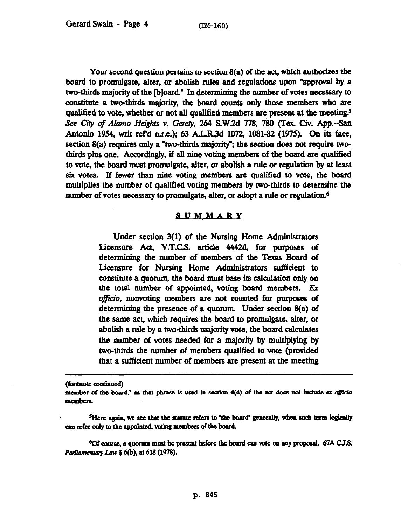Your second question pertains to section 8(a) of the act, which authorizes the board to promulgate, alter, or abolish rules and regulations upon "approval by a two-thirds majority of the [b]oard." In determining the number of votes necessary to constitute a two-thirds majority, the board counts only those members who are qualified to vote, whether or not all qualified members are present at the meeting.<sup>5</sup> See City of *Alamo Heights v. Gerety, 264 S.W.2d 778, 780 (Tex. Civ. App.*-San Antonio 1954, writ ref'd n.r.e.); 63 A.L.R.3d 1072, 1081-82 (1975). On its face, section  $8(a)$  requires only a "two-thirds majority"; the section does not require twothirds plus one. Accordingly, if all nine voting members of the board are qualified to vote, the board must promulgate, alter, or abolish a rule or regulation by at least six votes. If fewer than nine voting members are qualified to vote, the board multiplies the number of qualified voting members by two-thirds to determine the number of votes necessary to promulgate, alter, or adopt a rule or regulation.<sup>6</sup>

## SUMMARY

Under section 3(l) of the Nursing Home Administrators Licensure Act, V.T.C.S. article 4442d, for purposes of determining the number of members of the Texas Board of Licensure for Nursing Home Administrators sufficient to constitute a quorum, the board must base its calculation only on the total number of appointed, voting board members. Ex officio, nonvoting members are not counted for purposes of determining the presence of a quorum. Under section 8(a) of the same act, which requires the board to promulgate, alter, or abolish a rule by a two-thirds majority vote, the board calculates the mmtber of votes needed for a majority by multiplying by two-thirds the number of members qualified to vote (provided that a sufficient number of members are present at the meeting

(footnote continued)

<sup>6</sup>Of course, a quorum must be present before the board can vote on any proposal. 67A C.J.S. Parliamentary Law § 6(b), at 618 (1978).

member of the board," as that phrase is used in section 4(4) of the act does not include ex officio members.

<sup>&</sup>lt;sup>5</sup>Here again, we see that the statute refers to "the board" generally, when such term logically can refer only to the appointed, voting members of the board.